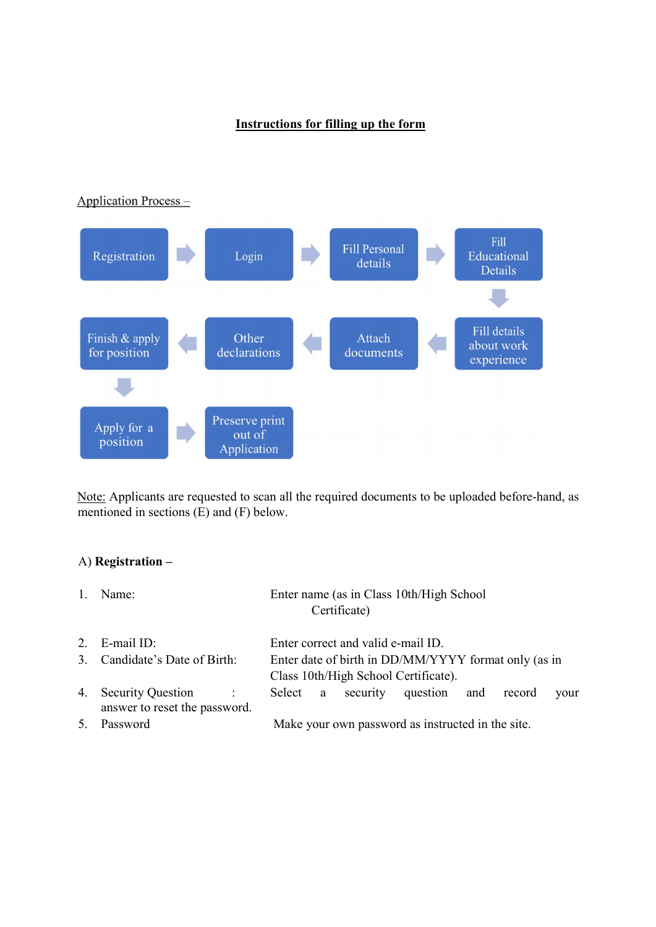# Instructions for filling up the form



## Application Process -

Note: Applicants are requested to scan all the required documents to be uploaded before-hand, as mentioned in sections (E) and (F) below.

# A) Registration –

| 1. | Name:                                                               | Enter name (as in Class 10th/High School)<br>Certificate)                                    |
|----|---------------------------------------------------------------------|----------------------------------------------------------------------------------------------|
|    | 2. $E$ -mail ID:                                                    | Enter correct and valid e-mail ID.                                                           |
|    | 3. Candidate's Date of Birth:                                       | Enter date of birth in DD/MM/YYYY format only (as in<br>Class 10th/High School Certificate). |
|    | 4. Security Question<br>$\sim$ 1.1<br>answer to reset the password. | Select a security question and<br>record<br>your                                             |
|    | 5. Password                                                         | Make your own password as instructed in the site.                                            |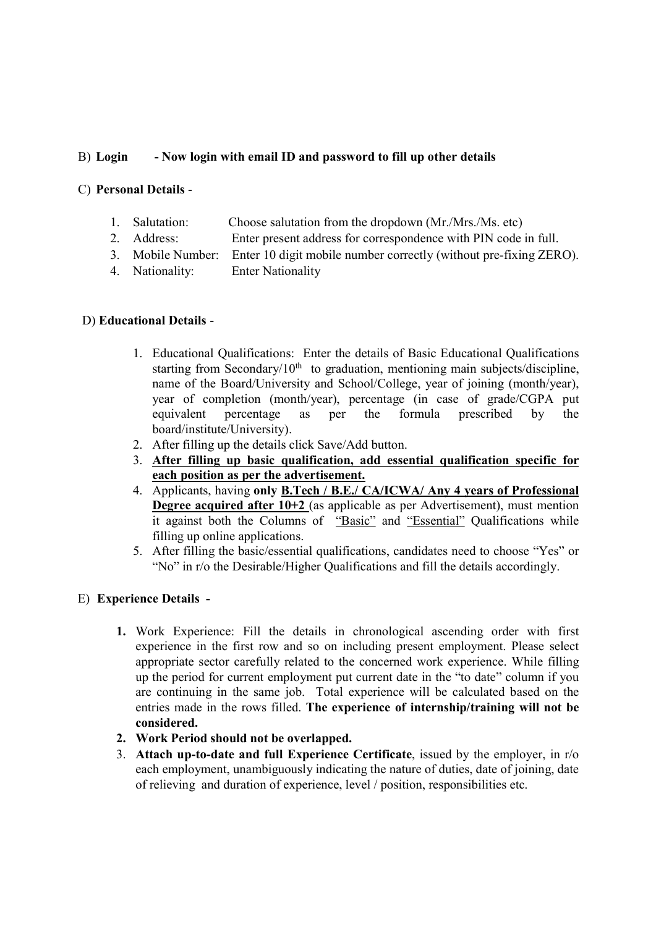## B) Login - Now login with email ID and password to fill up other details

## C) Personal Details -

- 1. Salutation: Choose salutation from the dropdown (Mr./Mrs./Ms. etc)
- 2. Address: Enter present address for correspondence with PIN code in full.
- 3. Mobile Number: Enter 10 digit mobile number correctly (without pre-fixing ZERO).
- 4. Nationality: Enter Nationality

## D) Educational Details -

- 1. Educational Qualifications: Enter the details of Basic Educational Qualifications starting from Secondary/ $10<sup>th</sup>$  to graduation, mentioning main subjects/discipline, name of the Board/University and School/College, year of joining (month/year), year of completion (month/year), percentage (in case of grade/CGPA put equivalent percentage as per the formula prescribed by the board/institute/University).
- 2. After filling up the details click Save/Add button.
- 3. After filling up basic qualification, add essential qualification specific for each position as per the advertisement.
- 4. Applicants, having only B.Tech / B.E./ CA/ICWA/ Any 4 years of Professional Degree acquired after 10+2 (as applicable as per Advertisement), must mention it against both the Columns of "Basic" and "Essential" Qualifications while filling up online applications.
- 5. After filling the basic/essential qualifications, candidates need to choose "Yes" or "No" in r/o the Desirable/Higher Qualifications and fill the details accordingly.

## E) Experience Details -

- 1. Work Experience: Fill the details in chronological ascending order with first experience in the first row and so on including present employment. Please select appropriate sector carefully related to the concerned work experience. While filling up the period for current employment put current date in the "to date" column if you are continuing in the same job. Total experience will be calculated based on the entries made in the rows filled. The experience of internship/training will not be considered.
- 2. Work Period should not be overlapped.
- 3. Attach up-to-date and full Experience Certificate, issued by the employer, in r/o each employment, unambiguously indicating the nature of duties, date of joining, date of relieving and duration of experience, level / position, responsibilities etc.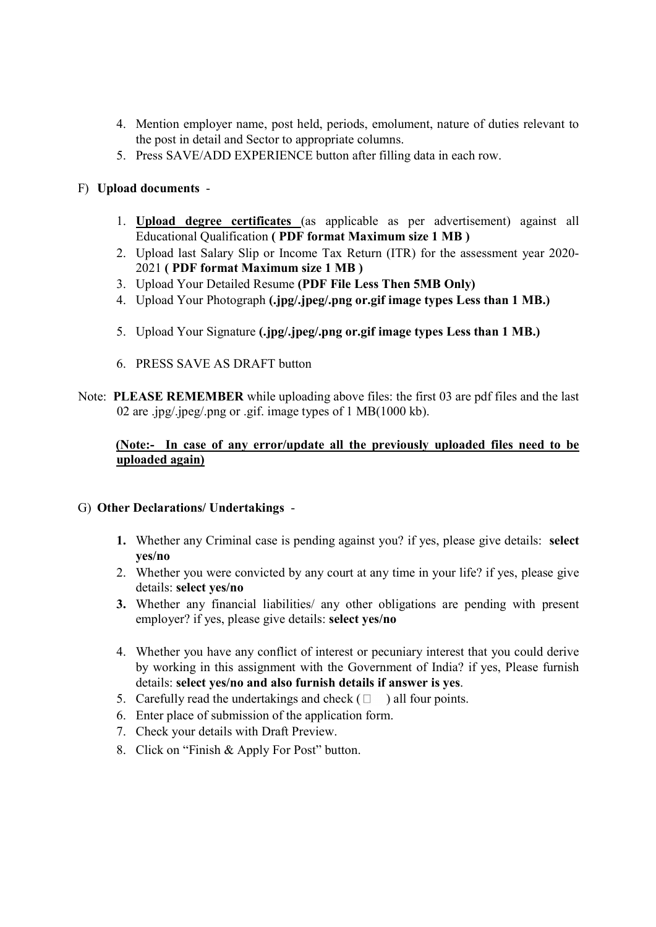- 4. Mention employer name, post held, periods, emolument, nature of duties relevant to the post in detail and Sector to appropriate columns.
- 5. Press SAVE/ADD EXPERIENCE button after filling data in each row.

- F) Upload documents -<br>1. Upload degree certificates (as applicable as per advertisement) against all Educational Qualification ( PDF format Maximum size 1 MB )
	- 2. Upload last Salary Slip or Income Tax Return (ITR) for the assessment year 2020- 2021 ( PDF format Maximum size 1 MB )
	- 3. Upload Your Detailed Resume (PDF File Less Then 5MB Only)
	- 4. Upload Your Photograph (.jpg/.jpeg/.png or.gif image types Less than 1 MB.)
	- 5. Upload Your Signature (.jpg/.jpeg/.png or.gif image types Less than 1 MB.)
	- 6. PRESS SAVE AS DRAFT button
- Note: PLEASE REMEMBER while uploading above files: the first 03 are pdf files and the last 02 are .jpg/.jpeg/.png or .gif. image types of 1 MB(1000 kb).

### (Note:- In case of any error/update all the previously uploaded files need to be uploaded again)

### G) Other Declarations/ Undertakings -

- 1. Whether any Criminal case is pending against you? if yes, please give details: select yes/no
- 2. Whether you were convicted by any court at any time in your life? if yes, please give details: select yes/no
- 3. Whether any financial liabilities/ any other obligations are pending with present employer? if yes, please give details: select yes/no
- 4. Whether you have any conflict of interest or pecuniary interest that you could derive by working in this assignment with the Government of India? if yes, Please furnish details: select yes/no and also furnish details if answer is yes.<br>5. Carefully read the undertakings and check  $(\Box)$  all four points.
- 
- 6. Enter place of submission of the application form.
- 7. Check your details with Draft Preview.
- 8. Click on "Finish & Apply For Post" button.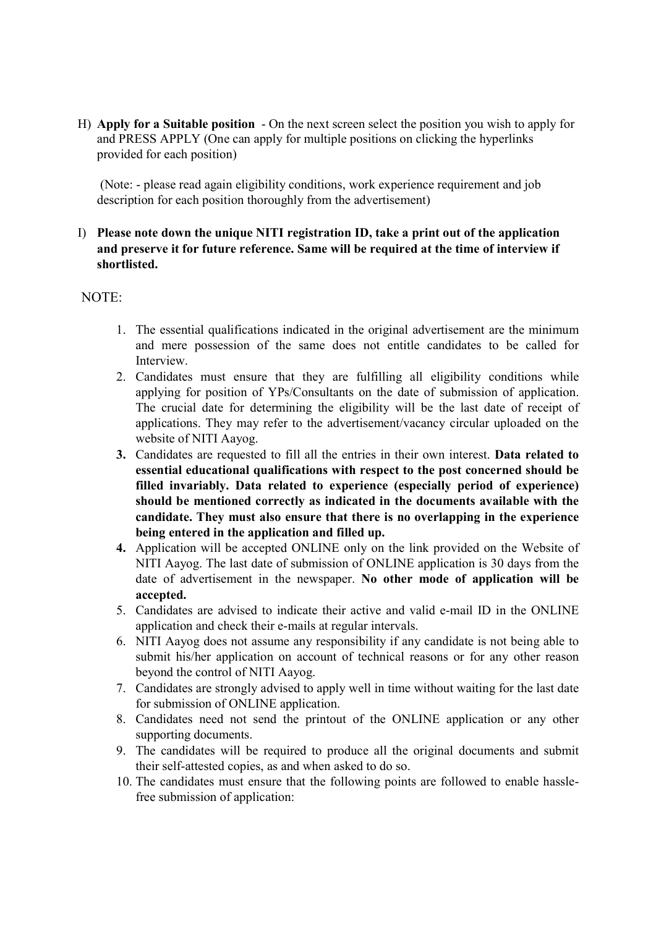H) Apply for a Suitable position - On the next screen select the position you wish to apply for and PRESS APPLY (One can apply for multiple positions on clicking the hyperlinks provided for each position)

 (Note: - please read again eligibility conditions, work experience requirement and job description for each position thoroughly from the advertisement)

## I) Please note down the unique NITI registration ID, take a print out of the application and preserve it for future reference. Same will be required at the time of interview if shortlisted.

### NOTE:

- 1. The essential qualifications indicated in the original advertisement are the minimum and mere possession of the same does not entitle candidates to be called for Interview.
- 2. Candidates must ensure that they are fulfilling all eligibility conditions while applying for position of YPs/Consultants on the date of submission of application. The crucial date for determining the eligibility will be the last date of receipt of applications. They may refer to the advertisement/vacancy circular uploaded on the website of NITI Aayog.
- 3. Candidates are requested to fill all the entries in their own interest. Data related to essential educational qualifications with respect to the post concerned should be filled invariably. Data related to experience (especially period of experience) should be mentioned correctly as indicated in the documents available with the candidate. They must also ensure that there is no overlapping in the experience being entered in the application and filled up.
- 4. Application will be accepted ONLINE only on the link provided on the Website of NITI Aayog. The last date of submission of ONLINE application is 30 days from the date of advertisement in the newspaper. No other mode of application will be accepted.
- 5. Candidates are advised to indicate their active and valid e-mail ID in the ONLINE application and check their e-mails at regular intervals.
- 6. NITI Aayog does not assume any responsibility if any candidate is not being able to submit his/her application on account of technical reasons or for any other reason beyond the control of NITI Aayog.
- 7. Candidates are strongly advised to apply well in time without waiting for the last date for submission of ONLINE application.
- 8. Candidates need not send the printout of the ONLINE application or any other supporting documents.
- 9. The candidates will be required to produce all the original documents and submit their self-attested copies, as and when asked to do so.
- 10. The candidates must ensure that the following points are followed to enable hasslefree submission of application: